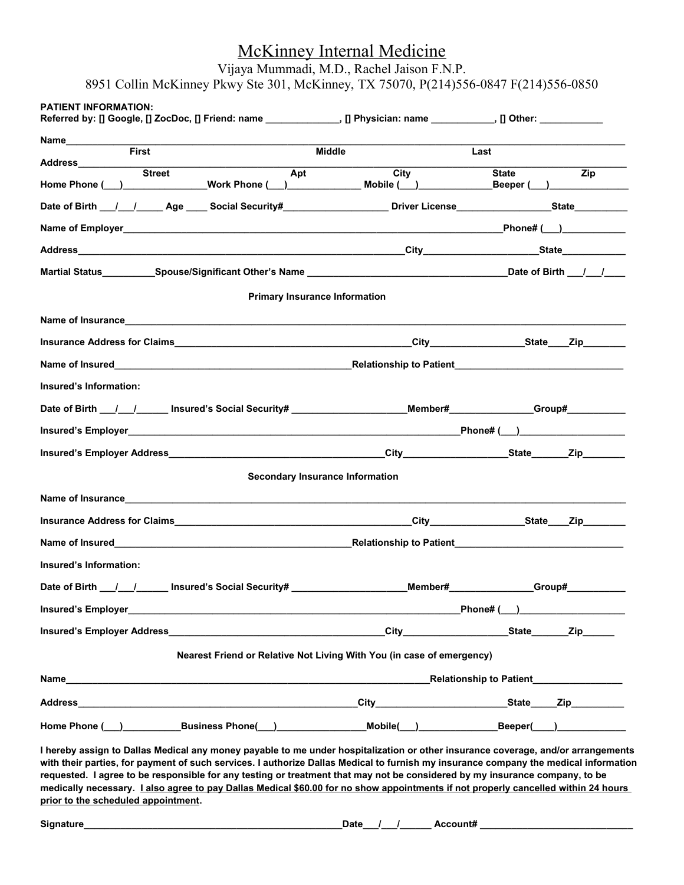# McKinney Internal Medicine

Vijaya Mummadi, M.D., Rachel Jaison F.N.P.

| Referred by: [] Google, [] ZocDoc, [] Friend: name _______________, [] Physician: name __________, [] Other: __________       |                                        |            |                                       |                  |
|-------------------------------------------------------------------------------------------------------------------------------|----------------------------------------|------------|---------------------------------------|------------------|
| Name <b>First</b>                                                                                                             | Middle                                 |            | Last                                  |                  |
|                                                                                                                               | Apt                                    | City State |                                       | $\overline{Zip}$ |
| Home Phone (__)_______________Work Phone (__)_____________Mobile (__)____________Beeper (__)_________                         |                                        |            |                                       |                  |
| Date of Birth __/___/_______Age _____ Social Security#______________________Driver License___________________State___________ |                                        |            |                                       |                  |
|                                                                                                                               |                                        |            |                                       |                  |
|                                                                                                                               |                                        |            |                                       |                  |
|                                                                                                                               |                                        |            |                                       |                  |
|                                                                                                                               | <b>Primary Insurance Information</b>   |            |                                       |                  |
|                                                                                                                               |                                        |            |                                       |                  |
|                                                                                                                               |                                        |            |                                       |                  |
|                                                                                                                               |                                        |            |                                       |                  |
| Insured's Information:                                                                                                        |                                        |            |                                       |                  |
| Date of Birth __/___/______ Insured's Social Security# ______________________Member#____________Group#_________               |                                        |            |                                       |                  |
|                                                                                                                               |                                        |            |                                       |                  |
|                                                                                                                               |                                        |            |                                       |                  |
|                                                                                                                               | <b>Secondary Insurance Information</b> |            |                                       |                  |
|                                                                                                                               |                                        |            |                                       |                  |
|                                                                                                                               |                                        |            |                                       |                  |
|                                                                                                                               |                                        |            |                                       |                  |
| Insured's Information:                                                                                                        |                                        |            |                                       |                  |
| Date of Birth __/__/______ Insured's Social Security# __________________________                                              |                                        |            | _Member#______________Group#_________ |                  |
|                                                                                                                               |                                        |            |                                       |                  |
|                                                                                                                               |                                        |            |                                       |                  |
| Nearest Friend or Relative Not Living With You (in case of emergency)                                                         |                                        |            |                                       |                  |
|                                                                                                                               |                                        |            |                                       |                  |
|                                                                                                                               |                                        |            |                                       |                  |
|                                                                                                                               |                                        |            |                                       |                  |

**medically necessary. I also agree to pay Dallas Medical \$60.00 for no show appointments if not properly cancelled within 24 hours prior to the scheduled appointment.**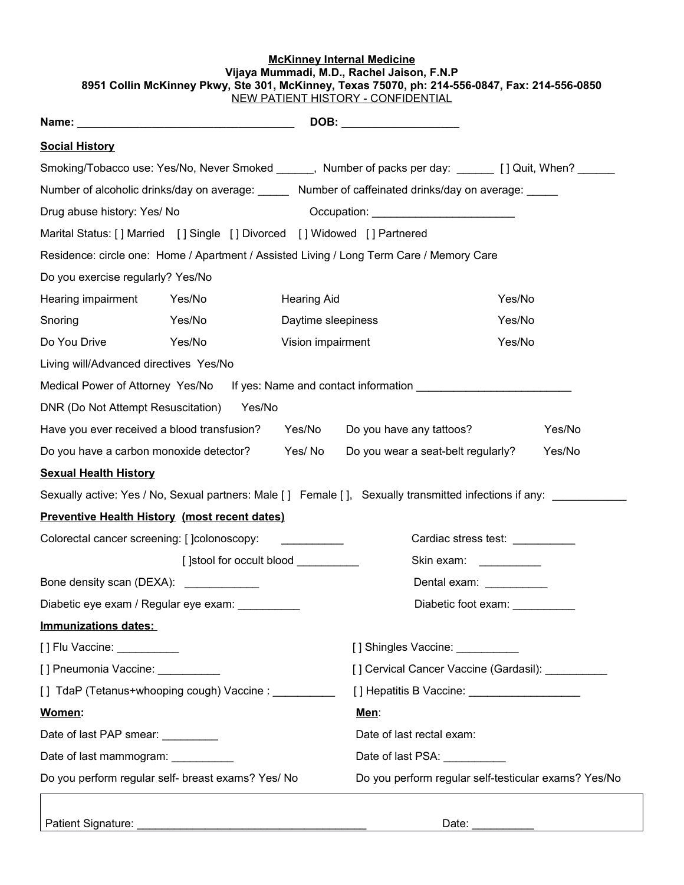#### **McKinney Internal Medicine Vijaya Mummadi, M.D., Rachel Jaison, F.N.P 8951 Collin McKinney Pkwy, Ste 301, McKinney, Texas 75070, ph: 214-556-0847, Fax: 214-556-0850** NEW PATIENT HISTORY - CONFIDENTIAL

| <b>Social History</b>                                                    |                                      |                                                                                                                                                                                                                                      |                                                                                                                |                                 |
|--------------------------------------------------------------------------|--------------------------------------|--------------------------------------------------------------------------------------------------------------------------------------------------------------------------------------------------------------------------------------|----------------------------------------------------------------------------------------------------------------|---------------------------------|
|                                                                          |                                      |                                                                                                                                                                                                                                      | Smoking/Tobacco use: Yes/No, Never Smoked ______, Number of packs per day: ______ [ ] Quit, When? ______       |                                 |
|                                                                          |                                      |                                                                                                                                                                                                                                      | Number of alcoholic drinks/day on average: Mumber of caffeinated drinks/day on average: _____                  |                                 |
| Drug abuse history: Yes/ No                                              |                                      |                                                                                                                                                                                                                                      | Occupation: Network of Contractor Contractor Contractor                                                        |                                 |
| Marital Status: [] Married [] Single [] Divorced [] Widowed [] Partnered |                                      |                                                                                                                                                                                                                                      |                                                                                                                |                                 |
|                                                                          |                                      |                                                                                                                                                                                                                                      | Residence: circle one: Home / Apartment / Assisted Living / Long Term Care / Memory Care                       |                                 |
| Do you exercise regularly? Yes/No                                        |                                      |                                                                                                                                                                                                                                      |                                                                                                                |                                 |
| Hearing impairment                                                       | Yes/No                               | <b>Hearing Aid</b>                                                                                                                                                                                                                   |                                                                                                                | Yes/No                          |
| Snoring                                                                  | Yes/No                               | Daytime sleepiness                                                                                                                                                                                                                   |                                                                                                                | Yes/No                          |
| Do You Drive                                                             | Yes/No                               | Vision impairment                                                                                                                                                                                                                    |                                                                                                                | Yes/No                          |
| Living will/Advanced directives Yes/No                                   |                                      |                                                                                                                                                                                                                                      |                                                                                                                |                                 |
|                                                                          |                                      |                                                                                                                                                                                                                                      | Medical Power of Attorney Yes/No If yes: Name and contact information ______________________________           |                                 |
| DNR (Do Not Attempt Resuscitation) Yes/No                                |                                      |                                                                                                                                                                                                                                      |                                                                                                                |                                 |
| Have you ever received a blood transfusion?                              |                                      |                                                                                                                                                                                                                                      | Yes/No Do you have any tattoos?                                                                                | Yes/No                          |
| Do you have a carbon monoxide detector? Yes/No                           |                                      |                                                                                                                                                                                                                                      | Do you wear a seat-belt regularly?                                                                             | Yes/No                          |
| <b>Sexual Health History</b>                                             |                                      |                                                                                                                                                                                                                                      |                                                                                                                |                                 |
|                                                                          |                                      |                                                                                                                                                                                                                                      | Sexually active: Yes / No, Sexual partners: Male [] Female [], Sexually transmitted infections if any:         |                                 |
| <b>Preventive Health History (most recent dates)</b>                     |                                      |                                                                                                                                                                                                                                      |                                                                                                                |                                 |
| Colorectal cancer screening: [ ]colonoscopy:                             |                                      | <u> 1986 - Jan Stein Stein Stein Stein Stein Stein Stein Stein Stein Stein Stein Stein Stein Stein Stein Stein Stein Stein Stein Stein Stein Stein Stein Stein Stein Stein Stein Stein Stein Stein Stein Stein Stein Stein Stein</u> |                                                                                                                | Cardiac stress test: __________ |
|                                                                          | [] stool for occult blood __________ |                                                                                                                                                                                                                                      | Skin exam: __________                                                                                          |                                 |
| Bone density scan (DEXA): _____________                                  |                                      |                                                                                                                                                                                                                                      | Dental exam: Next Control of the Control of the Control of the Control of the Control of the Control of the Co |                                 |
| Diabetic eye exam / Regular eye exam:                                    |                                      |                                                                                                                                                                                                                                      | Diabetic foot exam:                                                                                            |                                 |
| Immunizations dates:                                                     |                                      |                                                                                                                                                                                                                                      |                                                                                                                |                                 |
| [] Flu Vaccine: __________                                               |                                      |                                                                                                                                                                                                                                      | [] Shingles Vaccine:                                                                                           |                                 |
| [] Pneumonia Vaccine: __________                                         |                                      |                                                                                                                                                                                                                                      | [] Cervical Cancer Vaccine (Gardasil): ___________                                                             |                                 |
| [] TdaP (Tetanus+whooping cough) Vaccine : __________                    |                                      |                                                                                                                                                                                                                                      |                                                                                                                |                                 |
| Women:                                                                   |                                      |                                                                                                                                                                                                                                      | Men:                                                                                                           |                                 |
| Date of last PAP smear: _________                                        |                                      |                                                                                                                                                                                                                                      | Date of last rectal exam:                                                                                      |                                 |
| Date of last mammogram: _________                                        |                                      |                                                                                                                                                                                                                                      | Date of last PSA: __________                                                                                   |                                 |
| Do you perform regular self- breast exams? Yes/ No                       |                                      |                                                                                                                                                                                                                                      | Do you perform regular self-testicular exams? Yes/No                                                           |                                 |

Patient Signature: \_\_\_\_\_\_\_\_\_\_\_\_\_\_\_\_\_\_\_\_\_\_\_\_\_\_\_\_\_\_\_\_\_\_\_\_\_ Date: \_\_\_\_\_\_\_\_\_\_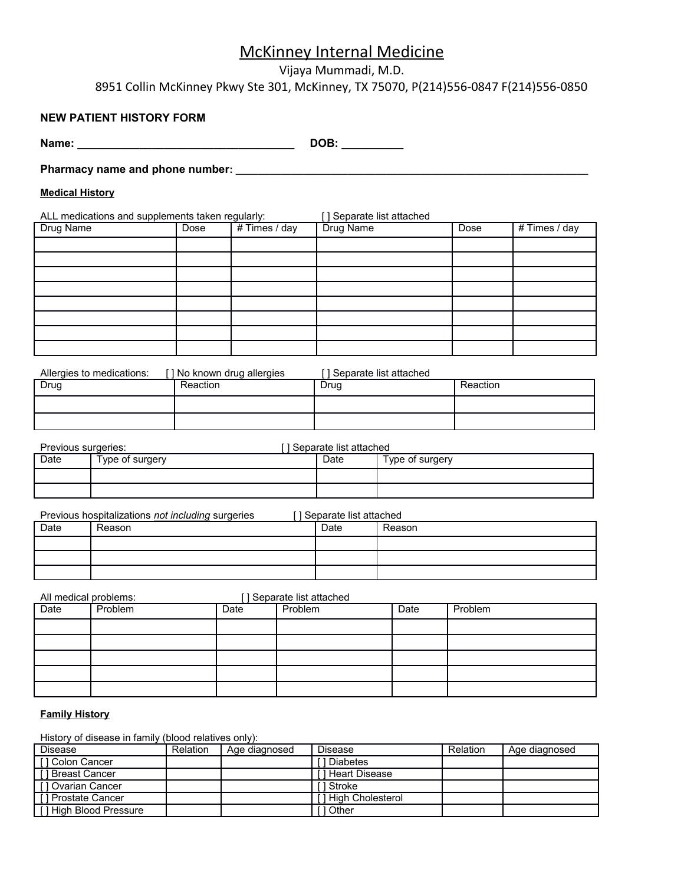### McKinney Internal Medicine

Vijaya Mummadi, M.D.

8951 Collin McKinney Pkwy Ste 301, McKinney, TX 75070, P(214)556-0847 F(214)556-0850

#### **NEW PATIENT HISTORY FORM**

**Name: \_\_\_\_\_\_\_\_\_\_\_\_\_\_\_\_\_\_\_\_\_\_\_\_\_\_\_\_\_\_\_\_\_\_\_ DOB: \_\_\_\_\_\_\_\_\_\_** 

**Pharmacy name and phone number: \_\_\_\_\_\_\_\_\_\_\_\_\_\_\_\_\_\_\_\_\_\_\_\_\_\_\_\_\_\_\_\_\_\_\_\_\_\_\_\_\_\_\_\_\_\_\_\_\_\_\_\_\_\_\_\_\_\_\_\_\_\_\_**

#### **Medical History**

ALL medications and supplements taken regularly: [ ] Separate list attached Drug Name **Dose** # Times / day Drug Name Dose # Times / day

| Allergies to medications: | ] No known drug allergies_ | l I Separate list attached |          |
|---------------------------|----------------------------|----------------------------|----------|
| Drug                      | Reaction                   | Drug                       | Reaction |
|                           |                            |                            |          |
|                           |                            |                            |          |

| Previous surgeries: |                 | I I Separate list attached |                 |
|---------------------|-----------------|----------------------------|-----------------|
| Date                | Type of surgery | Date                       | Type of surgery |
|                     |                 |                            |                 |
|                     |                 |                            |                 |

Previous hospitalizations *not including* surgeries [ ] Separate list attached

| Date | Reason | Date | Reason |
|------|--------|------|--------|
|      |        |      |        |
|      |        |      |        |
|      |        |      |        |

All medical problems: [ ] Separate list attached

| Date | Problem | Date | Problem | Date | Problem |
|------|---------|------|---------|------|---------|
|      |         |      |         |      |         |
|      |         |      |         |      |         |
|      |         |      |         |      |         |
|      |         |      |         |      |         |
|      |         |      |         |      |         |

#### **Family History**

History of disease in family (blood relatives only):

| Disease                  | <b>Relation</b> | Age diagnosed | <b>Disease</b>     | Relation | Age diagnosed |
|--------------------------|-----------------|---------------|--------------------|----------|---------------|
| [1 Colon Cancer          |                 |               | 1 Diabetes         |          |               |
| <b>I</b> I Breast Cancer |                 |               | 1 Heart Disease    |          |               |
| [1 Ovarian Cancer        |                 |               | 1 Stroke           |          |               |
| [1 Prostate Cancer       |                 |               | 1 High Cholesterol |          |               |
| [1 High Blood Pressure]  |                 |               | 1 Other            |          |               |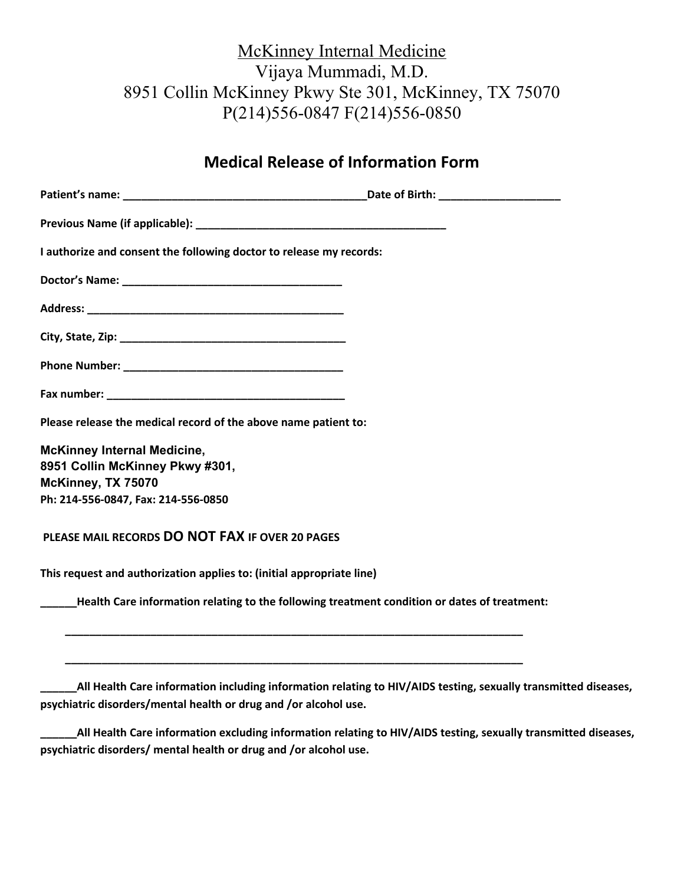# McKinney Internal Medicine Vijaya Mummadi, M.D. 8951 Collin McKinney Pkwy Ste 301, McKinney, TX 75070 P(214)556-0847 F(214)556-0850

### **Medical Release of Information Form**

| I authorize and consent the following doctor to release my records:                          |  |
|----------------------------------------------------------------------------------------------|--|
|                                                                                              |  |
|                                                                                              |  |
|                                                                                              |  |
|                                                                                              |  |
|                                                                                              |  |
| Please release the medical record of the above name patient to:                              |  |
| <b>McKinney Internal Medicine,</b><br>8951 Collin McKinney Pkwy #301,<br>McKinney, TX 75070  |  |
| Ph: 214-556-0847, Fax: 214-556-0850                                                          |  |
| PLEASE MAIL RECORDS DO NOT FAX IF OVER 20 PAGES                                              |  |
| This request and authorization applies to: (initial appropriate line)                        |  |
| Health Care information relating to the following treatment condition or dates of treatment: |  |
|                                                                                              |  |
|                                                                                              |  |

**\_\_\_\_\_\_All Health Care information including information relating to HIV/AIDS testing, sexually transmitted diseases, psychiatric disorders/mental health or drug and /or alcohol use.**

**\_\_\_\_\_\_All Health Care information excluding information relating to HIV/AIDS testing, sexually transmitted diseases, psychiatric disorders/ mental health or drug and /or alcohol use.**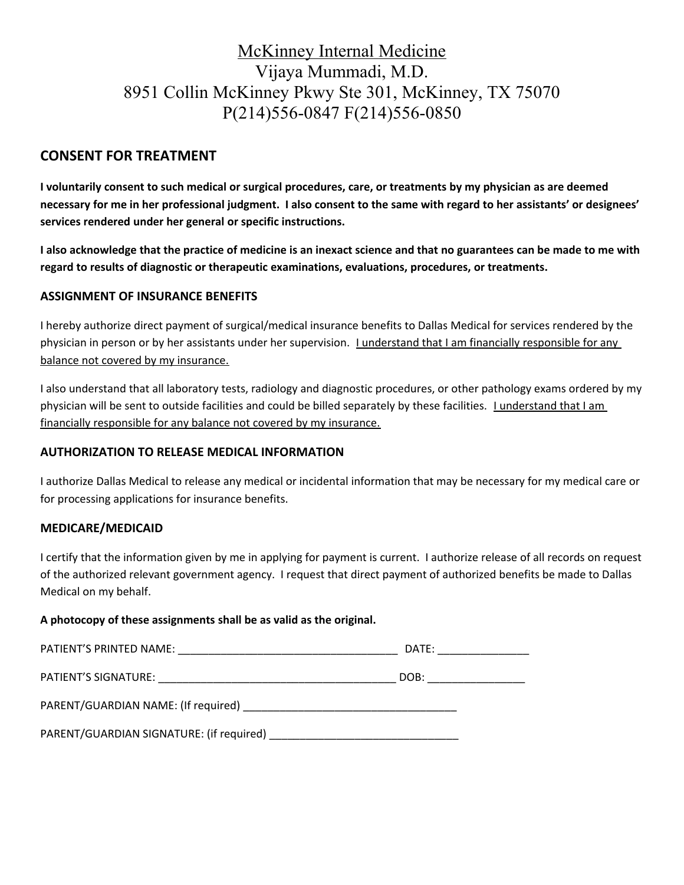# McKinney Internal Medicine Vijaya Mummadi, M.D. 8951 Collin McKinney Pkwy Ste 301, McKinney, TX 75070 P(214)556-0847 F(214)556-0850

### **CONSENT FOR TREATMENT**

**I voluntarily consent to such medical or surgical procedures, care, or treatments by my physician as are deemed necessary for me in her professional judgment. I also consent to the same with regard to her assistants' or designees' services rendered under her general or specific instructions.**

**I also acknowledge that the practice of medicine is an inexact science and that no guarantees can be made to me with regard to results of diagnostic or therapeutic examinations, evaluations, procedures, or treatments.**

#### **ASSIGNMENT OF INSURANCE BENEFITS**

I hereby authorize direct payment of surgical/medical insurance benefits to Dallas Medical for services rendered by the physician in person or by her assistants under her supervision. *Lunderstand that I am financially responsible for any* balance not covered by my insurance.

I also understand that all laboratory tests, radiology and diagnostic procedures, or other pathology exams ordered by my physician will be sent to outside facilities and could be billed separately by these facilities. *Lunderstand that Lam* financially responsible for any balance not covered by my insurance.

#### **AUTHORIZATION TO RELEASE MEDICAL INFORMATION**

I authorize Dallas Medical to release any medical or incidental information that may be necessary for my medical care or for processing applications for insurance benefits.

#### **MEDICARE/MEDICAID**

I certify that the information given by me in applying for payment is current. I authorize release of all records on request of the authorized relevant government agency. I request that direct payment of authorized benefits be made to Dallas Medical on my behalf.

#### **A photocopy of these assignments shall be as valid as the original.**

|                                                                                                                                                                                                                               | DATE: _________________ |
|-------------------------------------------------------------------------------------------------------------------------------------------------------------------------------------------------------------------------------|-------------------------|
| PATIENT'S SIGNATURE: New York State State State State State State State State State State State State State State State State State State State State State State State State State State State State State State State State | DOB: ____________       |
|                                                                                                                                                                                                                               |                         |
|                                                                                                                                                                                                                               |                         |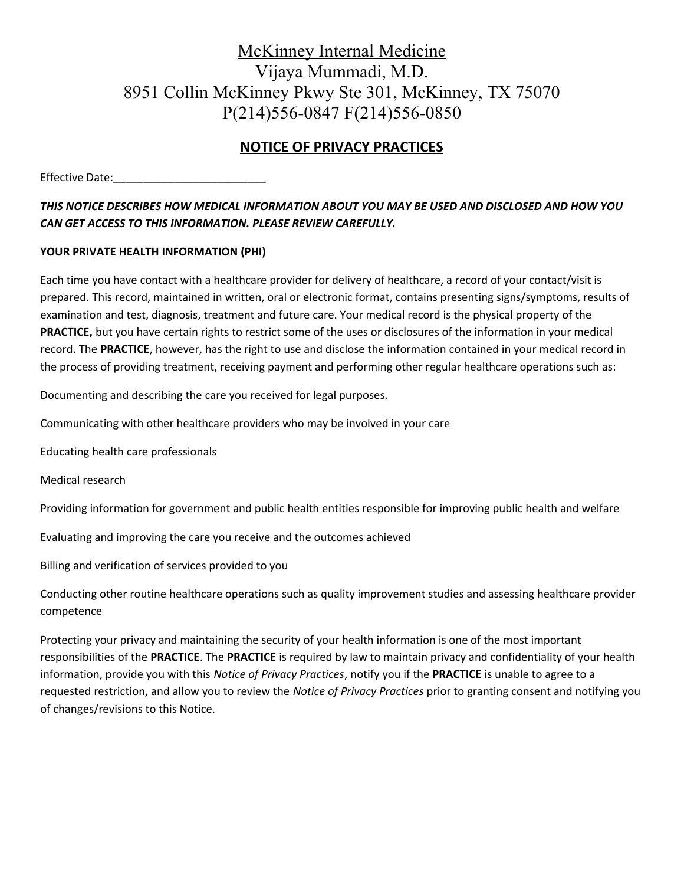# McKinney Internal Medicine Vijaya Mummadi, M.D. 8951 Collin McKinney Pkwy Ste 301, McKinney, TX 75070 P(214)556-0847 F(214)556-0850

### **NOTICE OF PRIVACY PRACTICES**

Effective Date:\_\_\_\_\_\_\_\_\_\_\_\_\_\_\_\_\_\_\_\_\_\_\_\_\_

### *THIS NOTICE DESCRIBES HOW MEDICAL INFORMATION ABOUT YOU MAY BE USED AND DISCLOSED AND HOW YOU CAN GET ACCESS TO THIS INFORMATION. PLEASE REVIEW CAREFULLY.*

#### **YOUR PRIVATE HEALTH INFORMATION (PHI)**

Each time you have contact with a healthcare provider for delivery of healthcare, a record of your contact/visit is prepared. This record, maintained in written, oral or electronic format, contains presenting signs/symptoms, results of examination and test, diagnosis, treatment and future care. Your medical record is the physical property of the **PRACTICE,** but you have certain rights to restrict some of the uses or disclosures of the information in your medical record. The **PRACTICE**, however, has the right to use and disclose the information contained in your medical record in the process of providing treatment, receiving payment and performing other regular healthcare operations such as:

Documenting and describing the care you received for legal purposes.

Communicating with other healthcare providers who may be involved in your care

Educating health care professionals

Medical research

Providing information for government and public health entities responsible for improving public health and welfare

Evaluating and improving the care you receive and the outcomes achieved

Billing and verification of services provided to you

Conducting other routine healthcare operations such as quality improvement studies and assessing healthcare provider competence

Protecting your privacy and maintaining the security of your health information is one of the most important responsibilities of the **PRACTICE**. The **PRACTICE** is required by law to maintain privacy and confidentiality of your health information, provide you with this *Notice of Privacy Practices*, notify you if the **PRACTICE** is unable to agree to a requested restriction, and allow you to review the *Notice of Privacy Practices* prior to granting consent and notifying you of changes/revisions to this Notice.